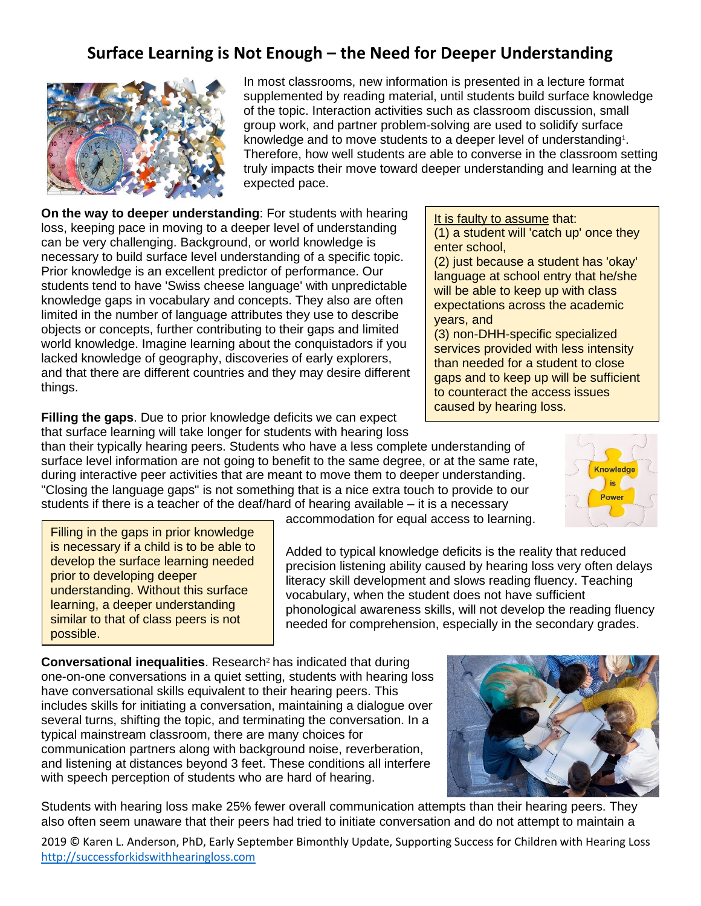## **Surface Learning is Not Enough – the Need for Deeper Understanding**



In most classrooms, new information is presented in a lecture format supplemented by reading material, until students build surface knowledge of the topic. Interaction activities such as classroom discussion, small group work, and partner problem-solving are used to solidify surface knowledge and to move students to a deeper level of understanding<sup>1</sup>. Therefore, how well students are able to converse in the classroom setting truly impacts their move toward deeper understanding and learning at the expected pace.

accommodation for equal access to learning.

Added to typical knowledge deficits is the reality that reduced precision listening ability caused by hearing loss very often delays

**On the way to deeper understanding**: For students with hearing loss, keeping pace in moving to a deeper level of understanding can be very challenging. Background, or world knowledge is necessary to build surface level understanding of a specific topic. Prior knowledge is an excellent predictor of performance. Our students tend to have 'Swiss cheese language' with unpredictable knowledge gaps in vocabulary and concepts. They also are often limited in the number of language attributes they use to describe objects or concepts, further contributing to their gaps and limited world knowledge. Imagine learning about the conquistadors if you lacked knowledge of geography, discoveries of early explorers, and that there are different countries and they may desire different things.

**Filling the gaps**. Due to prior knowledge deficits we can expect that surface learning will take longer for students with hearing loss

than their typically hearing peers. Students who have a less complete understanding of surface level information are not going to benefit to the same degree, or at the same rate, during interactive peer activities that are meant to move them to deeper understanding. "Closing the language gaps" is not something that is a nice extra touch to provide to our students if there is a teacher of the deaf/hard of hearing available – it is a necessary

Filling in the gaps in prior knowledge is necessary if a child is to be able to develop the surface learning needed prior to developing deeper understanding. Without this surface learning, a deeper understanding similar to that of class peers is not possible.

**Conversational inequalities**. Research<sup>2</sup> has indicated that during one-on-one conversations in a quiet setting, students with hearing loss have conversational skills equivalent to their hearing peers. This includes skills for initiating a conversation, maintaining a dialogue over several turns, shifting the topic, and terminating the conversation. In a typical mainstream classroom, there are many choices for communication partners along with background noise, reverberation, and listening at distances beyond 3 feet. These conditions all interfere with speech perception of students who are hard of hearing.

Students with hearing loss make 25% fewer overall communication attempts than their hearing peers. They also often seem unaware that their peers had tried to initiate conversation and do not attempt to maintain a

2019 © Karen L. Anderson, PhD, Early September Bimonthly Update, Supporting Success for Children with Hearing Loss [http://successforkidswithhearingloss.com](http://successforkidswithhearingloss.com/)

It is faulty to assume that:

(1) a student will 'catch up' once they enter school,

(2) just because a student has 'okay' language at school entry that he/she will be able to keep up with class expectations across the academic years, and

(3) non-DHH-specific specialized services provided with less intensity than needed for a student to close gaps and to keep up will be sufficient to counteract the access issues caused by hearing loss.